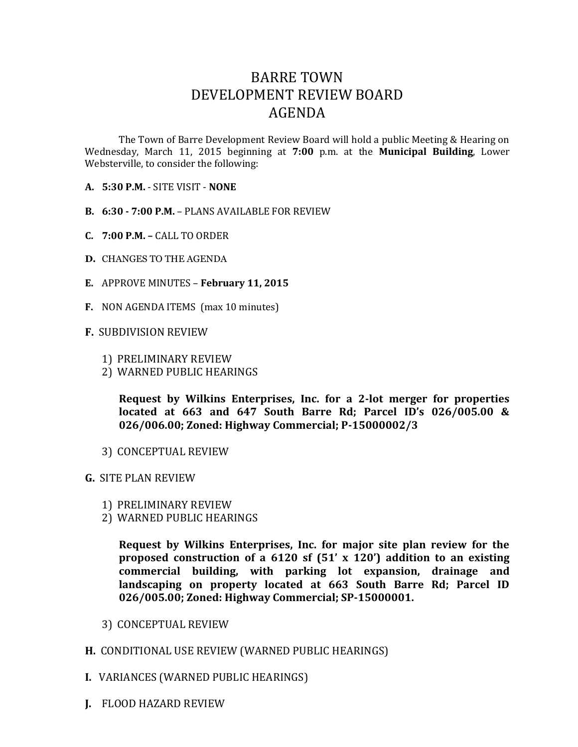## BARRE TOWN DEVELOPMENT REVIEW BOARD AGENDA

The Town of Barre Development Review Board will hold a public Meeting & Hearing on Wednesday, March 11, 2015 beginning at **7:00** p.m. at the **Municipal Building**, Lower Websterville, to consider the following:

- **A. 5:30 P.M.** SITE VISIT **NONE**
- **B. 6:30 - 7:00 P.M.** PLANS AVAILABLE FOR REVIEW
- **C. 7:00 P.M. –** CALL TO ORDER
- **D.** CHANGES TO THE AGENDA
- **E.** APPROVE MINUTES **February 11, 2015**
- **F.** NON AGENDA ITEMS (max 10 minutes)
- **F.** SUBDIVISION REVIEW
	- 1) PRELIMINARY REVIEW
	- 2) WARNED PUBLIC HEARINGS

**Request by Wilkins Enterprises, Inc. for a 2-lot merger for properties located at 663 and 647 South Barre Rd; Parcel ID's 026/005.00 & 026/006.00; Zoned: Highway Commercial; P-15000002/3**

- 3) CONCEPTUAL REVIEW
- **G.** SITE PLAN REVIEW
	- 1) PRELIMINARY REVIEW
	- 2) WARNED PUBLIC HEARINGS

**Request by Wilkins Enterprises, Inc. for major site plan review for the proposed construction of a 6120 sf (51' x 120') addition to an existing commercial building, with parking lot expansion, drainage and landscaping on property located at 663 South Barre Rd; Parcel ID 026/005.00; Zoned: Highway Commercial; SP-15000001.**

- 3) CONCEPTUAL REVIEW
- **H.** CONDITIONAL USE REVIEW (WARNED PUBLIC HEARINGS)
- **I.** VARIANCES (WARNED PUBLIC HEARINGS)
- **J.** FLOOD HAZARD REVIEW